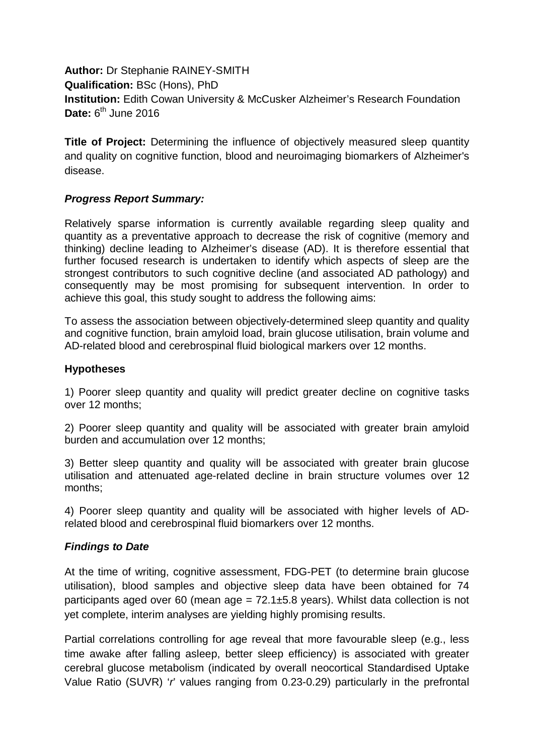**Author:** Dr Stephanie RAINEY-SMITH **Qualification:** BSc (Hons), PhD **Institution:** Edith Cowan University & McCusker Alzheimer's Research Foundation **Date:** 6<sup>th</sup> June 2016

**Title of Project:** Determining the influence of objectively measured sleep quantity and quality on cognitive function, blood and neuroimaging biomarkers of Alzheimer's disease.

# *Progress Report Summary:*

Relatively sparse information is currently available regarding sleep quality and quantity as a preventative approach to decrease the risk of cognitive (memory and thinking) decline leading to Alzheimer's disease (AD). It is therefore essential that further focused research is undertaken to identify which aspects of sleep are the strongest contributors to such cognitive decline (and associated AD pathology) and consequently may be most promising for subsequent intervention. In order to achieve this goal, this study sought to address the following aims:

To assess the association between objectively-determined sleep quantity and quality and cognitive function, brain amyloid load, brain glucose utilisation, brain volume and AD-related blood and cerebrospinal fluid biological markers over 12 months.

### **Hypotheses**

1) Poorer sleep quantity and quality will predict greater decline on cognitive tasks over 12 months;

2) Poorer sleep quantity and quality will be associated with greater brain amyloid burden and accumulation over 12 months;

3) Better sleep quantity and quality will be associated with greater brain glucose utilisation and attenuated age-related decline in brain structure volumes over 12 months;

4) Poorer sleep quantity and quality will be associated with higher levels of ADrelated blood and cerebrospinal fluid biomarkers over 12 months.

### *Findings to Date*

At the time of writing, cognitive assessment, FDG-PET (to determine brain glucose utilisation), blood samples and objective sleep data have been obtained for 74 participants aged over 60 (mean age =  $72.1\pm5.8$  years). Whilst data collection is not yet complete, interim analyses are yielding highly promising results.

Partial correlations controlling for age reveal that more favourable sleep (e.g., less time awake after falling asleep, better sleep efficiency) is associated with greater cerebral glucose metabolism (indicated by overall neocortical Standardised Uptake Value Ratio (SUVR) '*r*' values ranging from 0.23-0.29) particularly in the prefrontal